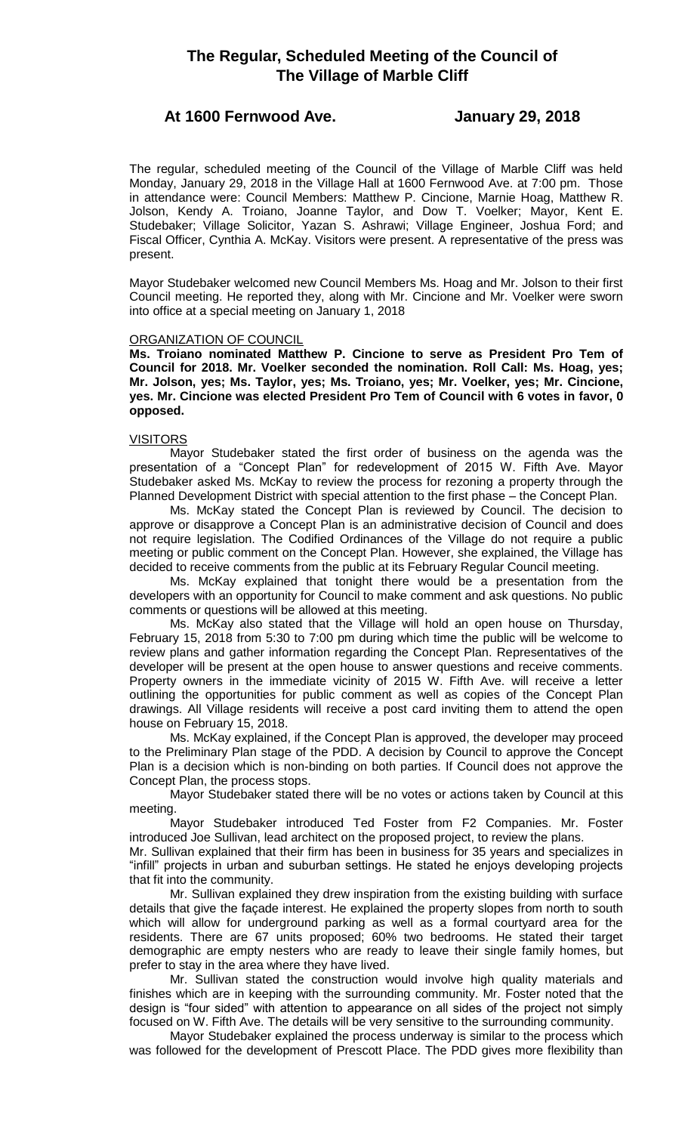# **The Regular, Scheduled Meeting of the Council of The Village of Marble Cliff**

## **At 1600 Fernwood Ave. January 29, 2018**

The regular, scheduled meeting of the Council of the Village of Marble Cliff was held Monday, January 29, 2018 in the Village Hall at 1600 Fernwood Ave. at 7:00 pm. Those in attendance were: Council Members: Matthew P. Cincione, Marnie Hoag, Matthew R. Jolson, Kendy A. Troiano, Joanne Taylor, and Dow T. Voelker; Mayor, Kent E. Studebaker; Village Solicitor, Yazan S. Ashrawi; Village Engineer, Joshua Ford; and Fiscal Officer, Cynthia A. McKay. Visitors were present. A representative of the press was present.

Mayor Studebaker welcomed new Council Members Ms. Hoag and Mr. Jolson to their first Council meeting. He reported they, along with Mr. Cincione and Mr. Voelker were sworn into office at a special meeting on January 1, 2018

### ORGANIZATION OF COUNCIL

**Ms. Troiano nominated Matthew P. Cincione to serve as President Pro Tem of Council for 2018. Mr. Voelker seconded the nomination. Roll Call: Ms. Hoag, yes; Mr. Jolson, yes; Ms. Taylor, yes; Ms. Troiano, yes; Mr. Voelker, yes; Mr. Cincione, yes. Mr. Cincione was elected President Pro Tem of Council with 6 votes in favor, 0 opposed.**

### VISITORS

Mayor Studebaker stated the first order of business on the agenda was the presentation of a "Concept Plan" for redevelopment of 2015 W. Fifth Ave. Mayor Studebaker asked Ms. McKay to review the process for rezoning a property through the Planned Development District with special attention to the first phase – the Concept Plan.

Ms. McKay stated the Concept Plan is reviewed by Council. The decision to approve or disapprove a Concept Plan is an administrative decision of Council and does not require legislation. The Codified Ordinances of the Village do not require a public meeting or public comment on the Concept Plan. However, she explained, the Village has decided to receive comments from the public at its February Regular Council meeting.

Ms. McKay explained that tonight there would be a presentation from the developers with an opportunity for Council to make comment and ask questions. No public comments or questions will be allowed at this meeting.

Ms. McKay also stated that the Village will hold an open house on Thursday, February 15, 2018 from 5:30 to 7:00 pm during which time the public will be welcome to review plans and gather information regarding the Concept Plan. Representatives of the developer will be present at the open house to answer questions and receive comments. Property owners in the immediate vicinity of 2015 W. Fifth Ave. will receive a letter outlining the opportunities for public comment as well as copies of the Concept Plan drawings. All Village residents will receive a post card inviting them to attend the open house on February 15, 2018.

Ms. McKay explained, if the Concept Plan is approved, the developer may proceed to the Preliminary Plan stage of the PDD. A decision by Council to approve the Concept Plan is a decision which is non-binding on both parties. If Council does not approve the Concept Plan, the process stops.

Mayor Studebaker stated there will be no votes or actions taken by Council at this meeting.

Mayor Studebaker introduced Ted Foster from F2 Companies. Mr. Foster introduced Joe Sullivan, lead architect on the proposed project, to review the plans.

Mr. Sullivan explained that their firm has been in business for 35 years and specializes in "infill" projects in urban and suburban settings. He stated he enjoys developing projects that fit into the community.

Mr. Sullivan explained they drew inspiration from the existing building with surface details that give the façade interest. He explained the property slopes from north to south which will allow for underground parking as well as a formal courtyard area for the residents. There are 67 units proposed; 60% two bedrooms. He stated their target demographic are empty nesters who are ready to leave their single family homes, but prefer to stay in the area where they have lived.

Mr. Sullivan stated the construction would involve high quality materials and finishes which are in keeping with the surrounding community. Mr. Foster noted that the design is "four sided" with attention to appearance on all sides of the project not simply focused on W. Fifth Ave. The details will be very sensitive to the surrounding community.

Mayor Studebaker explained the process underway is similar to the process which was followed for the development of Prescott Place. The PDD gives more flexibility than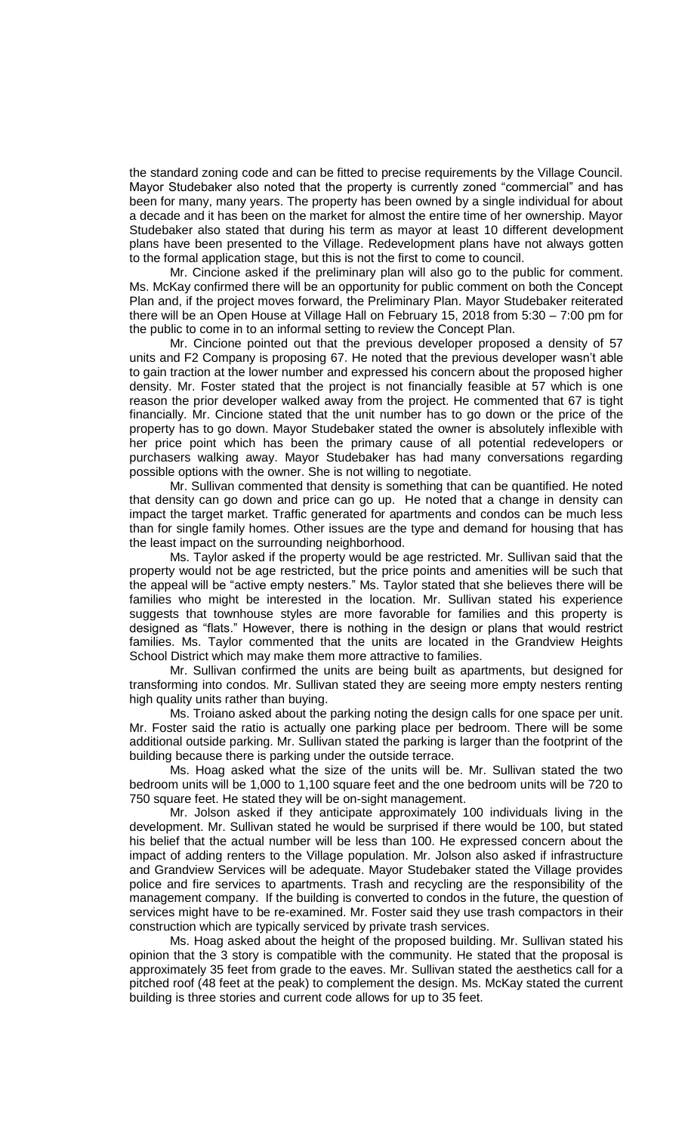the standard zoning code and can be fitted to precise requirements by the Village Council. Mayor Studebaker also noted that the property is currently zoned "commercial" and has been for many, many years. The property has been owned by a single individual for about a decade and it has been on the market for almost the entire time of her ownership. Mayor Studebaker also stated that during his term as mayor at least 10 different development plans have been presented to the Village. Redevelopment plans have not always gotten to the formal application stage, but this is not the first to come to council.

Mr. Cincione asked if the preliminary plan will also go to the public for comment. Ms. McKay confirmed there will be an opportunity for public comment on both the Concept Plan and, if the project moves forward, the Preliminary Plan. Mayor Studebaker reiterated there will be an Open House at Village Hall on February 15, 2018 from 5:30 – 7:00 pm for the public to come in to an informal setting to review the Concept Plan.

Mr. Cincione pointed out that the previous developer proposed a density of 57 units and F2 Company is proposing 67. He noted that the previous developer wasn't able to gain traction at the lower number and expressed his concern about the proposed higher density. Mr. Foster stated that the project is not financially feasible at 57 which is one reason the prior developer walked away from the project. He commented that 67 is tight financially. Mr. Cincione stated that the unit number has to go down or the price of the property has to go down. Mayor Studebaker stated the owner is absolutely inflexible with her price point which has been the primary cause of all potential redevelopers or purchasers walking away. Mayor Studebaker has had many conversations regarding possible options with the owner. She is not willing to negotiate.

Mr. Sullivan commented that density is something that can be quantified. He noted that density can go down and price can go up. He noted that a change in density can impact the target market. Traffic generated for apartments and condos can be much less than for single family homes. Other issues are the type and demand for housing that has the least impact on the surrounding neighborhood.

Ms. Taylor asked if the property would be age restricted. Mr. Sullivan said that the property would not be age restricted, but the price points and amenities will be such that the appeal will be "active empty nesters." Ms. Taylor stated that she believes there will be families who might be interested in the location. Mr. Sullivan stated his experience suggests that townhouse styles are more favorable for families and this property is designed as "flats." However, there is nothing in the design or plans that would restrict families. Ms. Taylor commented that the units are located in the Grandview Heights School District which may make them more attractive to families.

Mr. Sullivan confirmed the units are being built as apartments, but designed for transforming into condos. Mr. Sullivan stated they are seeing more empty nesters renting high quality units rather than buying.

Ms. Troiano asked about the parking noting the design calls for one space per unit. Mr. Foster said the ratio is actually one parking place per bedroom. There will be some additional outside parking. Mr. Sullivan stated the parking is larger than the footprint of the building because there is parking under the outside terrace.

Ms. Hoag asked what the size of the units will be. Mr. Sullivan stated the two bedroom units will be 1,000 to 1,100 square feet and the one bedroom units will be 720 to 750 square feet. He stated they will be on-sight management.

Mr. Jolson asked if they anticipate approximately 100 individuals living in the development. Mr. Sullivan stated he would be surprised if there would be 100, but stated his belief that the actual number will be less than 100. He expressed concern about the impact of adding renters to the Village population. Mr. Jolson also asked if infrastructure and Grandview Services will be adequate. Mayor Studebaker stated the Village provides police and fire services to apartments. Trash and recycling are the responsibility of the management company. If the building is converted to condos in the future, the question of services might have to be re-examined. Mr. Foster said they use trash compactors in their construction which are typically serviced by private trash services.

Ms. Hoag asked about the height of the proposed building. Mr. Sullivan stated his opinion that the 3 story is compatible with the community. He stated that the proposal is approximately 35 feet from grade to the eaves. Mr. Sullivan stated the aesthetics call for a pitched roof (48 feet at the peak) to complement the design. Ms. McKay stated the current building is three stories and current code allows for up to 35 feet.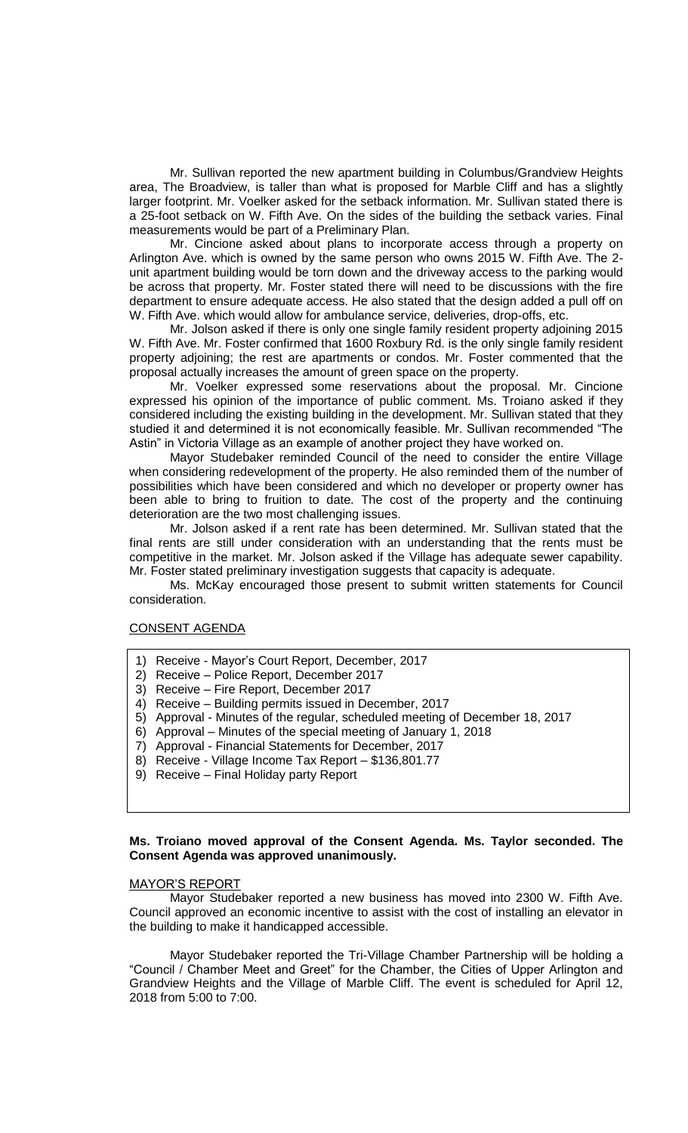Mr. Sullivan reported the new apartment building in Columbus/Grandview Heights area, The Broadview, is taller than what is proposed for Marble Cliff and has a slightly larger footprint. Mr. Voelker asked for the setback information. Mr. Sullivan stated there is a 25-foot setback on W. Fifth Ave. On the sides of the building the setback varies. Final measurements would be part of a Preliminary Plan.

Mr. Cincione asked about plans to incorporate access through a property on Arlington Ave. which is owned by the same person who owns 2015 W. Fifth Ave. The 2 unit apartment building would be torn down and the driveway access to the parking would be across that property. Mr. Foster stated there will need to be discussions with the fire department to ensure adequate access. He also stated that the design added a pull off on W. Fifth Ave. which would allow for ambulance service, deliveries, drop-offs, etc.

Mr. Jolson asked if there is only one single family resident property adjoining 2015 W. Fifth Ave. Mr. Foster confirmed that 1600 Roxbury Rd. is the only single family resident property adjoining; the rest are apartments or condos. Mr. Foster commented that the proposal actually increases the amount of green space on the property.

Mr. Voelker expressed some reservations about the proposal. Mr. Cincione expressed his opinion of the importance of public comment. Ms. Troiano asked if they considered including the existing building in the development. Mr. Sullivan stated that they studied it and determined it is not economically feasible. Mr. Sullivan recommended "The Astin" in Victoria Village as an example of another project they have worked on.

Mayor Studebaker reminded Council of the need to consider the entire Village when considering redevelopment of the property. He also reminded them of the number of possibilities which have been considered and which no developer or property owner has been able to bring to fruition to date. The cost of the property and the continuing deterioration are the two most challenging issues.

Mr. Jolson asked if a rent rate has been determined. Mr. Sullivan stated that the final rents are still under consideration with an understanding that the rents must be competitive in the market. Mr. Jolson asked if the Village has adequate sewer capability. Mr. Foster stated preliminary investigation suggests that capacity is adequate.

Ms. McKay encouraged those present to submit written statements for Council consideration.

#### CONSENT AGENDA

- 1) Receive Mayor's Court Report, December, 2017
- 2) Receive Police Report, December 2017
- 3) Receive Fire Report, December 2017
- 4) Receive Building permits issued in December, 2017
- 5) Approval Minutes of the regular, scheduled meeting of December 18, 2017
- 6) Approval Minutes of the special meeting of January 1, 2018
- 7) Approval Financial Statements for December, 2017
- 8) Receive Village Income Tax Report \$136,801.77
- 9) Receive Final Holiday party Report

### **Ms. Troiano moved approval of the Consent Agenda. Ms. Taylor seconded. The Consent Agenda was approved unanimously.**

### MAYOR'S REPORT

Mayor Studebaker reported a new business has moved into 2300 W. Fifth Ave. Council approved an economic incentive to assist with the cost of installing an elevator in the building to make it handicapped accessible.

Mayor Studebaker reported the Tri-Village Chamber Partnership will be holding a "Council / Chamber Meet and Greet" for the Chamber, the Cities of Upper Arlington and Grandview Heights and the Village of Marble Cliff. The event is scheduled for April 12, 2018 from 5:00 to 7:00.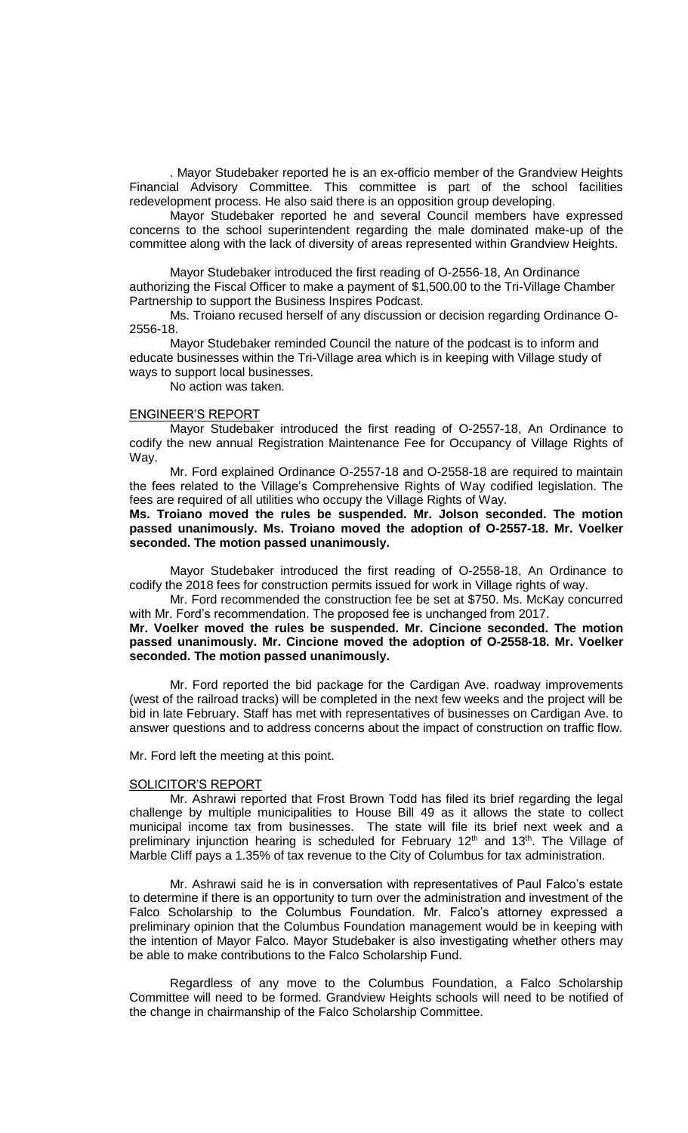. Mayor Studebaker reported he is an ex-officio member of the Grandview Heights Financial Advisory Committee. This committee is part of the school facilities redevelopment process. He also said there is an opposition group developing.

Mayor Studebaker reported he and several Council members have expressed concerns to the school superintendent regarding the male dominated make-up of the committee along with the lack of diversity of areas represented within Grandview Heights.

Mayor Studebaker introduced the first reading of O-2556-18, An Ordinance authorizing the Fiscal Officer to make a payment of \$1,500.00 to the Tri-Village Chamber Partnership to support the Business Inspires Podcast.

Ms. Troiano recused herself of any discussion or decision regarding Ordinance O-2556-18.

Mayor Studebaker reminded Council the nature of the podcast is to inform and educate businesses within the Tri-Village area which is in keeping with Village study of ways to support local businesses.

No action was taken.

#### ENGINEER'S REPORT

Mayor Studebaker introduced the first reading of O-2557-18, An Ordinance to codify the new annual Registration Maintenance Fee for Occupancy of Village Rights of Way.

Mr. Ford explained Ordinance O-2557-18 and O-2558-18 are required to maintain the fees related to the Village's Comprehensive Rights of Way codified legislation. The fees are required of all utilities who occupy the Village Rights of Way.

**Ms. Troiano moved the rules be suspended. Mr. Jolson seconded. The motion passed unanimously. Ms. Troiano moved the adoption of O-2557-18. Mr. Voelker seconded. The motion passed unanimously.** 

Mayor Studebaker introduced the first reading of O-2558-18, An Ordinance to codify the 2018 fees for construction permits issued for work in Village rights of way.

Mr. Ford recommended the construction fee be set at \$750. Ms. McKay concurred with Mr. Ford's recommendation. The proposed fee is unchanged from 2017.

### **Mr. Voelker moved the rules be suspended. Mr. Cincione seconded. The motion passed unanimously. Mr. Cincione moved the adoption of O-2558-18. Mr. Voelker seconded. The motion passed unanimously.**

Mr. Ford reported the bid package for the Cardigan Ave. roadway improvements (west of the railroad tracks) will be completed in the next few weeks and the project will be bid in late February. Staff has met with representatives of businesses on Cardigan Ave. to answer questions and to address concerns about the impact of construction on traffic flow.

Mr. Ford left the meeting at this point.

#### SOLICITOR'S REPORT

Mr. Ashrawi reported that Frost Brown Todd has filed its brief regarding the legal challenge by multiple municipalities to House Bill 49 as it allows the state to collect municipal income tax from businesses. The state will file its brief next week and a preliminary injunction hearing is scheduled for February 12<sup>th</sup> and 13<sup>th</sup>. The Village of Marble Cliff pays a 1.35% of tax revenue to the City of Columbus for tax administration.

Mr. Ashrawi said he is in conversation with representatives of Paul Falco's estate to determine if there is an opportunity to turn over the administration and investment of the Falco Scholarship to the Columbus Foundation. Mr. Falco's attorney expressed a preliminary opinion that the Columbus Foundation management would be in keeping with the intention of Mayor Falco. Mayor Studebaker is also investigating whether others may be able to make contributions to the Falco Scholarship Fund.

Regardless of any move to the Columbus Foundation, a Falco Scholarship Committee will need to be formed. Grandview Heights schools will need to be notified of the change in chairmanship of the Falco Scholarship Committee.